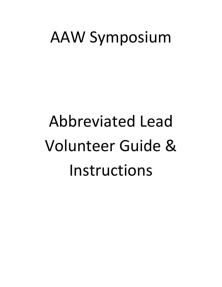# AAW Symposium

Abbreviated Lead Volunteer Guide & Instructions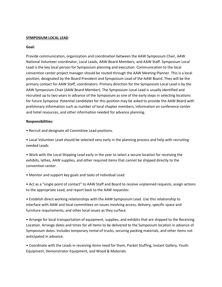## **SYMPOSIUM LOCAL LEAD**

#### **Goal:**

Provide communication, organization and coordination between the AAW Symposium Chair, AAW National Volunteer coordinator, Local Leads, AAW Board Members, and AAW Staff. Symposium Local Lead is the key local person for Symposium planning and execution. Communication to the local convention center project manager should be routed through the AAW Meeting Planner. This is a local position, designated by the Board President and Symposium Lead of the AAW Board. They will be the primary contact for AAW Staff, coordinators. Primary direction for the Symposium Local Lead is by the AAW Symposium Chair (AAW Board Member). The Symposium Local Lead is usually identified and recruited up to two years in advance of the Symposium as one of the early steps in selecting locations for future Symposia. Potential candidates for this position may be asked to provide the AAW Board with preliminary information such as number of local chapter members, information on conference center and hotel resources, and other information needed for advance planning.

## **Responsibilities:**

- Recruit and designate all Committee Lead positions.
- Local Volunteer Lead should be selected very early in the planning process and help with recruiting needed Leads
- Work with the Local Shipping Lead early in the year to select a secure location for receiving the exhibits, lathes, AAW supplies, and other required items that cannot be shipped directly to the convention center.
- Monitor and support key goals and tasks of individual Lead.
- Act as a "single point of contact" to AAW Staff and Board to receive unplanned requests, assign actions to the appropriate Lead, and report back to the AAW requestor.
- Establish direct working relationships with the AAW Symposium Lead. Use this relationship to interface with AAW and local committees on issues involving access, delivery, specific space and furniture requirements, and other local issues as they surface.
- Arrange for local transportation of equipment, supplies, and exhibits that are shipped to the Receiving Location. Arrange dates and times for all items to be delivered to the Symposium location in advance of Symposium dates. Includes temporary rental of trucks, securing packing materials, and other items not anticipated in advance.
- Coordinate with the Leads in receiving items need for them, Packet Stuffing, Instant Gallery, Youth Equipment, Demonstrator Equipment, and Wood & Materials.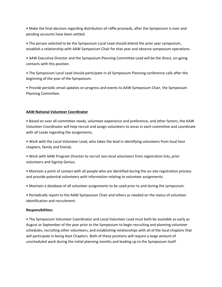• Make the final decision regarding distribution of raffle proceeds, after the Symposium is over and pending accounts have been settled.

• The person selected to be the Symposium Local Lead should attend the prior year symposium, establish a relationship with AAW Symposium Chair for that year and observe symposium operations.

• AAW Executive Director and the Symposium Planning Committee Lead will be the direct, on-going contacts with this position.

• The Symposium Local Lead should participate in all Symposium Planning conference calls after the beginning of the year of the Symposium.

• Provide periodic email updates on progress and events to AAW Symposium Chair, the Symposium Planning Committee.

# **AAW National Volunteer Coordinator**

• Based on over all committee needs, volunteer experience and preference, and other factors, the AAW Volunteer Coordinator will help recruit and assign volunteers to areas in each committee and coordinate with all Leads regarding the assignments.

• Work with the Local Volunteer Lead, who takes the lead in identifying volunteers from local host chapters, family and friends.

• Work with AAW Program Director to recruit non-local volunteers from registration lists, prior volunteers and SignUp Genius.

• Maintain a point of contact with all people who are identified during the on-site registration process and provide potential volunteers with information relating to volunteer assignments.

• Maintain a database of all volunteer assignments to be used prior to and during the symposium.

• Periodically report to the AAW Symposium Chair and others as needed on the status of volunteer identification and recruitment.

# **Responsibilities:**

• The Symposium Volunteer Coordinator and Local Volunteer Lead must both be available as early as August or September of the year prior to the Symposium to begin recruiting and planning volunteer schedules, recruiting other volunteers, and establishing relationships with all of the local chapters that will participate in being Host Chapters. Both of these positions will require a large amount of unscheduled work during the initial planning months and leading up to the Symposium itself.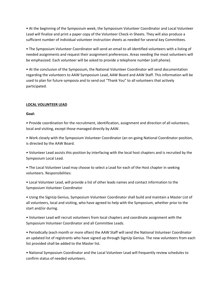• At the beginning of the Symposium week, the Symposium Volunteer Coordinator and Local Volunteer Lead will finalize and print a paper copy of the Volunteer Check-in Sheets. They will also produce a sufficient number of individual volunteer instruction sheets as needed for several key Committees.

• The Symposium Volunteer Coordinator will send an email to all identified volunteers with a listing of needed assignments and request their assignment preferences. Areas needing the most volunteers will be emphasized. Each volunteer will be asked to provide a telephone number (cell phone).

• At the conclusion of the Symposium, the National Volunteer Coordinator will send documentation regarding the volunteers to AAW Symposium Lead, AAW Board and AAW Staff. This information will be used to plan for future symposia and to send out "Thank You" to all volunteers that actively participated.

# **LOCAL VOLUNTEER LEAD**

# **Goal:**

• Provide coordination for the recruitment, identification, assignment and direction of all volunteers, local and visiting, except those managed directly by AAW.

• Work closely with the Symposium Volunteer Coordinator (an on-going National Coordinator position, is directed by the AAW Board.

• Volunteer Lead assists this position by interfacing with the local host chapters and is recruited by the Symposium Local Lead.

• The Local Volunteer Lead may choose to select a Lead for each of the Host chapter in seeking volunteers. Responsibilities:

• Local Volunteer Lead, will provide a list of other leads names and contact information to the Symposium Volunteer Coordinator

• Using the SignUp Genius, Symposium Volunteer Coordinator shall build and maintain a Master List of all volunteers, local and visiting, who have agreed to help with the Symposium, whether prior to the start and/or during.

• Volunteer Lead will recruit volunteers from local chapters and coordinate assignment with the Symposium Volunteer Coordinator and all Committee Leads.

• Periodically (each month or more often) the AAW Staff will send the National Volunteer Coordinator an updated list of registrants who have signed up through SignUp Genius. The new volunteers from each list provided shall be added to the Master list.

• National Symposium Coordinator and the Local Volunteer Lead will frequently review schedules to confirm status of needed volunteers.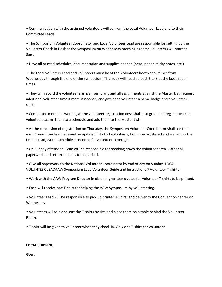• Communication with the assigned volunteers will be from the Local Volunteer Lead and to their Committee Leads.

• The Symposium Volunteer Coordinator and Local Volunteer Lead are responsible for setting up the Volunteer Check-in Desk at the Symposium on Wednesday morning as some volunteers will start at 8am.

• Have all printed schedules, documentation and supplies needed (pens, paper, sticky notes, etc.)

• The Local Volunteer Lead and volunteers must be at the Volunteers booth at all times from Wednesday through the end of the symposium. Thursday will need at least 2 to 3 at the booth at all times.

• They will record the volunteer's arrival, verify any and all assignments against the Master List, request additional volunteer time if more is needed, and give each volunteer a name badge and a volunteer Tshirt.

• Committee members working at the volunteer registration desk shall also greet and register walk-in volunteers assign them to a schedule and add them to the Master List.

• At the conclusion of registration on Thursday, the Symposium Volunteer Coordinator shall see that each Committee Lead received an updated list of all volunteers, both pre-registered and walk-in so the Lead can adjust the schedule as needed for volunteer coverage.

• On Sunday afternoon, Lead will be responsible for breaking down the volunteer area. Gather all paperwork and return supplies to be packed.

• Give all paperwork to the National Volunteer Coordinator by end of day on Sunday. LOCAL VOLUNTEER LEADAAW Symposium Lead Volunteer Guide and Instructions 7 Volunteer T-shirts:

- Work with the AAW Program Director in obtaining written quotes for Volunteer T-shirts to be printed.
- Each will receive one T-shirt for helping the AAW Symposium by volunteering.

• Volunteer Lead will be responsible to pick up printed T-Shirts and deliver to the Convention center on Wednesday.

• Volunteers will fold and sort the T-shirts by size and place them on a table behind the Volunteer Booth.

• T-shirt will be given to volunteer when they check-in. Only one T-shirt per volunteer

# **LOCAL SHIPPING**

**Goal:**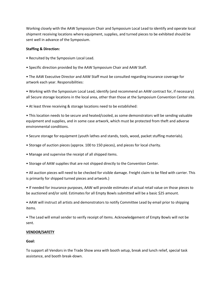Working closely with the AAW Symposium Chair and Symposium Local Lead to identify and operate local shipment receiving locations where equipment, supplies, and turned pieces to be exhibited should be sent well in advance of the Symposium.

# **Staffing & Direction:**

- Recruited by the Symposium Local Lead.
- Specific direction provided by the AAW Symposium Chair and AAW Staff.

• The AAW Executive Director and AAW Staff must be consulted regarding insurance coverage for artwork each year. Responsibilities:

• Working with the Symposium Local Lead, identify (and recommend an AAW contract for, if necessary) all Secure storage locations in the local area, other than those at the Symposium Convention Center site.

• At least three receiving & storage locations need to be established:

• This location needs to be secure and heated/cooled, as some demonstrators will be sending valuable equipment and supplies, and in some case artwork, which must be protected from theft and adverse environmental conditions.

- Secure storage for equipment (youth lathes and stands, tools, wood, packet stuffing materials).
- Storage of auction pieces (approx. 100 to 150 pieces), and pieces for local charity.
- Manage and supervise the receipt of all shipped items.
- Storage of AAW supplies that are not shipped directly to the Convention Center.

• All auction pieces will need to be checked for visible damage. Freight claim to be filed with carrier. This is primarily for shipped turned pieces and artwork.)

• If needed for insurance purposes, AAW will provide estimates of actual retail value on those pieces to be auctioned and/or sold. Estimates for all Empty Bowls submitted will be a basic \$25 amount.

• AAW will instruct all artists and demonstrators to notify Committee Lead by email prior to shipping items.

• The Lead will email sender to verify receipt of items. Acknowledgement of Empty Bowls will not be sent.

# **VENDOR/SAFETY**

# **Goal:**

To support all Vendors in the Trade Show area with booth setup, break and lunch relief, special task assistance, and booth break-down.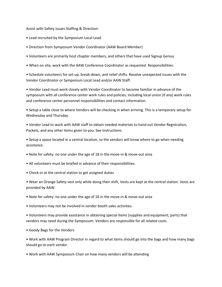Assist with Safety issues Staffing & Direction:

- Lead recruited by the Symposium Local Lead.
- Direction from Symposium Vendor Coordinator (AAW Board Member)
- Volunteers are primarily host chapter members, and others that have used Signup Genius
- When on site, work with the AAW Conference Coordinator as requested. Responsibilities:

• Schedule volunteers for set-up, break-down, and relief shifts. Resolve unexpected issues with the Vendor Coordinator or Symposium Local Lead and/or AAW Staff.

• Vendor Lead must work closely with Vendor Coordinator to become familiar in advance of the symposium with all conference center work rules and policies, including local union (if any) work rules and conference center personnel responsibilities and contact information.

• Setup a table close to where Vendors will be checking in when arriving. This is a temporary setup for Wednesday and Thursday.

• Vendor Lead to work with AAW staff to obtain needed materials to hand out Vendor Registration, Packets, and any other items given to you. See Instructions.

• Setup a space located in a central location, so the vendors will know where to go when needing assistance.

- Note for safety: no one under the age of 18 in the move-in & move-out area
- All volunteers must be briefed in advance of their responsibilities.
- Check-in at the central station to get assigned duties

• Wear an Orange Safety vest only while doing their shift, Vests are kept at the central station. Vests are provided by AAW.

• Note for safety: no one under the age of 18 in the move-in & move-out area

• Volunteers may not be involved in vendor booth sales activities.

• Volunteers may provide assistance in obtaining special items (supplies and equipment; parts) that vendors may need during the Symposium. Vendors are responsible for all related costs.

• Goody Bags for the Vendors

• Work with AAW Program Director in regard to what items should go into the bags and how many bags should go to each vendor.

• Work with AAW Symposium Chair on how many vendors will be attending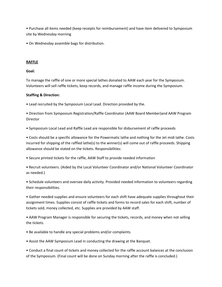• Purchase all items needed (keep receipts for reimbursement) and have item delivered to Symposium site by Wednesday morning

• On Wednesday assemble bags for distribution.

# **RAFFLE**

# **Goal:**

To manage the raffle of one or more special lathes donated to AAW each year for the Symposium. Volunteers will sell raffle tickets, keep records, and manage raffle income during the Symposium.

# **Staffing & Direction:**

• Lead recruited by the Symposium Local Lead. Direction provided by the.

• Direction from Symposium Registration/Raffle Coordinator (AAW Board Member)and AAW Program Director

• Symposium Local Lead and Raffle Lead are responsible for disbursement of raffle proceeds

• Costs should be a specific allowance for the Powermatic lathe and nothing for the Jet midi lathe. Costs incurred for shipping of the raffled lathe(s) to the winner(s) will come out of raffle proceeds. Shipping allowance should be stated on the tickets. Responsibilities:

• Secure printed tickets for the raffle, AAW Staff to provide needed information

• Recruit volunteers. (Aided by the Local Volunteer Coordinator and/or National Volunteer Coordinator as needed.)

• Schedule volunteers and oversee daily activity. Provided needed information to volunteers regarding their responsibilities.

• Gather needed supplies and ensure volunteers for each shift have adequate supplies throughout their assignment times. Supplies consist of raffle tickets and forms to record sales for each shift, number of tickets sold, money collected, etc. Supplies are provided by AAW staff.

• AAW Program Manager is responsible for securing the tickets, records, and money when not selling the tickets.

• Be available to handle any special problems and/or complaints.

• Assist the AAW Symposium Lead in conducting the drawing at the Banquet.

• Conduct a final count of tickets and money collected for the raffle account balances at the conclusion of the Symposium. (Final count will be done on Sunday morning after the raffle is concluded.)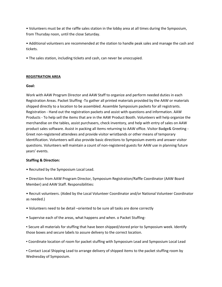• Volunteers must be at the raffle sales station in the lobby area at all times during the Symposium, from Thursday noon, until the close Saturday.

• Additional volunteers are recommended at the station to handle peak sales and manage the cash and tickets.

• The sales station, including tickets and cash, can never be unoccupied.

# **REGISTRATION AREA**

# **Goal:**

Work with AAW Program Director and AAW Staff to organize and perform needed duties in each Registration Areas. Packet Stuffing -To gather all printed materials provided by the AAW or materials shipped directly to a location to be assembled. Assemble Symposium packets for all registrants. Registration - Hand out the registration packets and assist with questions and information. AAW Products - To help sell the items that are in the AAW Product Booth. Volunteers will help organize the merchandise on the tables, assist purchasers, check inventory, and help with entry of sales on AAW product sales software. Assist in packing all items returning to AAW office. Visitor Badge& Greeting - Greet non-registered attendees and provide visitor wristbands or other means of temporary identification. Volunteers will also provide basic directions to Symposium events and answer visitor questions. Volunteers will maintain a count of non-registered guests for AAW use in planning future years' events.

# **Staffing & Direction:**

- Recruited by the Symposium Local Lead.
- Direction from AAW Program Director, Symposium Registration/Raffle Coordinator (AAW Board Member) and AAW Staff. Responsibilities:
- Recruit volunteers. (Aided by the Local Volunteer Coordinator and/or National Volunteer Coordinator as needed.)
- Volunteers need to be detail –oriented to be sure all tasks are done correctly
- Supervise each of the areas, what happens and when. o Packet Stuffing-
- Secure all materials for stuffing that have been shipped/stored prior to Symposium week. Identify those boxes and secure labels to assure delivery to the correct location.
- Coordinate location of room for packet stuffing with Symposium Lead and Symposium Local Lead
- Contact Local Shipping Lead to arrange delivery of shipped items to the packet stuffing room by Wednesday of Symposium.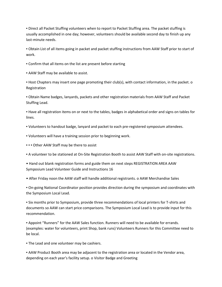▪ Direct all Packet Stuffing volunteers when to report to Packet Stuffing area. The packet stuffing is usually accomplished in one day; however, volunteers should be available second day to finish up any last-minute needs.

▪ Obtain List of all items going in packet and packet stuffing instructions from AAW Staff prior to start of work.

- Confirm that all items on the list are present before starting
- **AAW Staff may be available to assist.**

▪ Host Chapters may insert one page promoting their club(s), with contact information, in the packet. o Registration

▪ Obtain Name badges, lanyards, packets and other registration materials from AAW Staff and Packet Stuffing Lead.

▪ Have all registration items on or next to the tables, badges in alphabetical order and signs on tables for lines.

- Volunteers to handout badge, lanyard and packet to each pre-registered symposium attendees.
- Volunteers will have a training session prior to beginning work.
- **•** Other AAW Staff may be there to assist
- A volunteer to be stationed at On-Site Registration Booth to assist AAW Staff with on-site registrations.
- Hand out blank registration forms and guide them on next steps REGISTRATION AREA AAW Symposium Lead Volunteer Guide and Instructions 16
- After Friday noon the AAW staff will handle additional registrants. o AAW Merchandise Sales

▪ On-going National Coordinator position provides direction during the symposium and coordinates with the Symposium Local Lead.

▪ Six months prior to Symposium, provide three recommendations of local printers for T-shirts and documents so AAW can start price comparisons. The Symposium Local Lead is to provide input for this recommendation.

▪ Appoint "Runners" for the AAW Sales function. Runners will need to be available for errands. (examples: water for volunteers, print Shop, bank runs) Volunteers Runners for this Committee need to be local.

**• The Lead and one volunteer may be cashiers.** 

▪ AAW Product Booth area may be adjacent to the registration area or located in the Vendor area, depending on each year's facility setup. o Visitor Badge and Greeting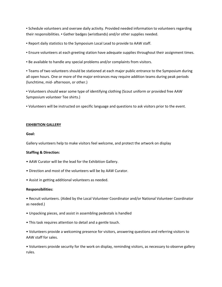▪ Schedule volunteers and oversee daily activity. Provided needed information to volunteers regarding their responsibilities. ▪ Gather badges (wristbands) and/or other supplies needed.

▪ Report daily statistics to the Symposium Local Lead to provide to AAW staff.

- **Ensure volunteers at each greeting station have adequate supplies throughout their assignment times.**
- **.** Be available to handle any special problems and/or complaints from visitors.

▪ Teams of two volunteers should be stationed at each major public entrance to the Symposium during all open hours. One or more of the major entrances may require addition teams during peak periods (lunchtime, mid- afternoon, or other.)

▪ Volunteers should wear some type of identifying clothing (Scout uniform or provided free AAW Symposium volunteer Tee shirts.)

▪ Volunteers will be instructed on specific language and questions to ask visitors prior to the event.

# **EXHIBITION GALLERY**

## **Goal:**

Gallery volunteers help to make visitors feel welcome, and protect the artwork on display

# **Staffing & Direction:**

- AAW Curator will be the lead for the Exhibition Gallery.
- Direction and most of the volunteers will be by AAW Curator.
- Assist in getting additional volunteers as needed.

# **Responsibilities:**

• Recruit volunteers. (Aided by the Local Volunteer Coordinator and/or National Volunteer Coordinator as needed.)

- Unpacking pieces, and assist in assembling pedestals is handled
- This task requires attention to detail and a gentle touch.

• Volunteers provide a welcoming presence for visitors, answering questions and referring visitors to AAW staff for sales.

• Volunteers provide security for the work on display, reminding visitors, as necessary to observe gallery rules.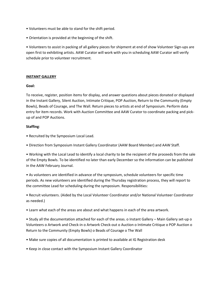- Volunteers must be able to stand for the shift period.
- Orientation is provided at the beginning of the shift.

• Volunteers to assist in packing of all gallery pieces for shipment at end of show Volunteer Sign-ups are open first to exhibiting artists. AAW Curator will work with you in scheduling AAW Curator will verify schedule prior to volunteer recruitment.

# **INSTANT GALLERY**

## **Goal:**

To receive, register, position items for display, and answer questions about pieces donated or displayed in the Instant Gallery, Silent Auction, Intimate Critique, POP Auction, Return to the Community (Empty Bowls), Beads of Courage, and The Wall. Return pieces to artists at end of Symposium. Perform data entry for item records. Work with Auction Committee and AAW Curator to coordinate packing and pickup of and POP Auctions.

# **Staffing**:

- Recruited by the Symposium Local Lead.
- Direction from Symposium Instant Gallery Coordinator (AAW Board Member) and AAW Staff.

• Working with the Local Lead to identify a local charity to be the recipient of the proceeds from the sale of the Empty Bowls. To be identified no later than early December so the information can be published in the AAW February Journal.

• As volunteers are identified in advance of the symposium, schedule volunteers for specific time periods. As new volunteers are identified during the Thursday registration process, they will report to the committee Lead for scheduling during the symposium. Responsibilities:

• Recruit volunteers. (Aided by the Local Volunteer Coordinator and/or National Volunteer Coordinator as needed.)

• Learn what each of the areas are about and what happens in each of the area artwork.

• Study all the documentation attached for each of the areas. o Instant Gallery – Main Gallery set-up o Volunteers o Artwork and Check-in o Artwork Check-out o Auction o Intimate Critique o POP Auction o Return to the Community (Empty Bowls) o Beads of Courage o The Wall

- Make sure copies of all documentation is printed to available at IG Registration desk
- Keep in close contact with the Symposium Instant Gallery Coordinator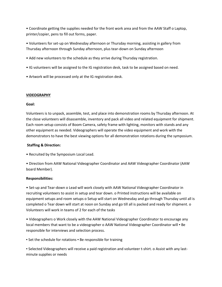• Coordinate getting the supplies needed for the front work area and from the AAW Staff o Laptop, printer/copier, pens to fill out forms, paper.

• Volunteers for set-up on Wednesday afternoon or Thursday morning, assisting in gallery from Thursday afternoon through Sunday afternoon, plus tear-down on Sunday afternoon

- Add new volunteers to the schedule as they arrive during Thursday registration.
- IG volunteers will be assigned to the IG registration desk, task to be assigned based on need.
- Artwork will be processed only at the IG registration desk.

## **VIDEOGRAPHY**

## **Goal:**

Volunteers is to unpack, assemble, test, and place into demonstration rooms by Thursday afternoon. At the close volunteers will disassemble, inventory and pack all video and related equipment for shipment. Each room setup consists of Boom Camera, safety frame with lighting, monitors with stands and any other equipment as needed. Videographers will operate the video equipment and work with the demonstrators to have the best viewing options for all demonstration rotations during the symposium.

## **Staffing & Direction:**

• Recruited by the Symposium Local Lead.

• Direction from AAW National Videographer Coordinator and AAW Videographer Coordinator (AAW board Member).

# **Responsibilities:**

• Set-up and Tear-down o Lead will work closely with AAW National Videographer Coordinator in recruiting volunteers to assist in setup and tear down. o Printed instructions will be available on equipment setups and room setups o Setup will start on Wednesday and go through Thursday until all is completed o Tear down will start at noon on Sunday and go till all is packed and ready for shipment. o Volunteers will work in teams of 2 for each of the tasks

• Videographers o Work closely with the AAW National Videographer Coordinator to encourage any local members that want to be a videographer o AAW National Videographer Coordinator will . Be responsible for interviews and selection process.

■ Set the schedule for rotations ■ Be responsible for training

▪ Selected Videographers will receive a paid registration and volunteer t-shirt. o Assist with any lastminute supplies or needs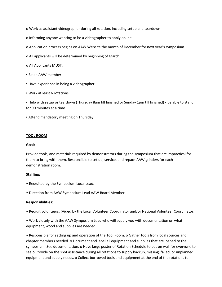o Work as assistant videographer during all rotation, including setup and teardown

o Informing anyone wanting to be a videographer to apply online.

o Application process begins on AAW Website the month of December for next year's symposium

- o All applicants will be determined by beginning of March
- o All Applicants MUST:
- Be an AAW member
- **EXP** Have experience in being a videographer
- Work at least 6 rotations

▪ Help with setup or teardown (Thursday 8am till finished or Sunday 1pm till finished) ▪ Be able to stand for 90 minutes at a time

**EXTEND MANDATORY FIGHTS ATTER FIGHTS** 

#### **TOOL ROOM**

#### **Goal:**

Provide tools, and materials required by demonstrators during the symposium that are impractical for them to bring with them. Responsible to set up, service, and repack AAW grinders for each demonstration room**.** 

#### **Staffing:**

- Recruited by the Symposium Local Lead.
- Direction from AAW Symposium Lead AAW Board Member.

#### **Responsibilities:**

- Recruit volunteers. (Aided by the Local Volunteer Coordinator and/or National Volunteer Coordinator.
- Work closely with the AAW Symposium Lead who will supply you with documentation on what equipment, wood and supplies are needed.

• Responsible for setting up and operation of the Tool Room. o Gather tools from local sources and chapter members needed. o Document and label all equipment and supplies that are loaned to the symposium. See documentation. o Have large poster of Rotation Schedule to put on wall for everyone to see o Provide on the spot assistance during all rotations to supply backup, missing, failed, or unplanned equipment and supply needs. o Collect borrowed tools and equipment at the end of the rotations to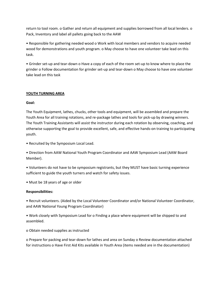return to tool room. o Gather and return all equipment and supplies borrowed from all local lenders. o Pack, Inventory and label all pallets going back to the AAW

• Responsible for gathering needed wood o Work with local members and vendors to acquire needed wood for demonstrations and youth program. o May choose to have one volunteer take lead on this task.

• Grinder set-up and tear-down o Have a copy of each of the room set-up to know where to place the grinder o Follow documentation for grinder set-up and tear-down o May choose to have one volunteer take lead on this task

## **YOUTH TURNING AREA**

## **Goal:**

The Youth Equipment, lathes, chucks, other tools and equipment, will be assembled and prepare the Youth Area for all training rotations, and re-package lathes and tools for pick-up by drawing winners. The Youth Training Assistants will assist the instructor during each rotation by observing, coaching, and otherwise supporting the goal to provide excellent, safe, and effective hands-on training to participating youth.

• Recruited by the Symposium Local Lead.

• Direction from AAW National Youth Program Coordinator and AAW Symposium Lead (AAW Board Member).

• Volunteers do not have to be symposium registrants, but they MUST have basic turning experience sufficient to guide the youth turners and watch for safety issues.

• Must be 18 years of age or older

#### **Responsibilities:**

• Recruit volunteers. (Aided by the Local Volunteer Coordinator and/or National Volunteer Coordinator, and AAW National Young Program Coordinator)

• Work closely with Symposium Lead for o Finding a place where equipment will be shipped to and assembled.

o Obtain needed supplies as instructed

o Prepare for packing and tear-down for lathes and area on Sunday o Review documentation attached for instructions o Have First Aid Kits available in Youth Area (items needed are in the documentation)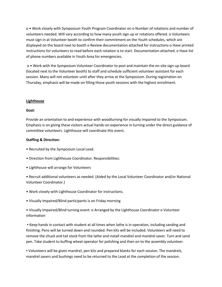o • Work closely with Symposium Youth Program Coordinator on o Number of rotations and number of volunteers needed. Will vary according to how many youth sign up or rotations offered. o Volunteers must sign in at Volunteer booth to confirm their commitment on the Youth schedules, which are displayed on the board next to booth o Review documentation attached for instructions o Have printed instructions for volunteers to read before each rotation is to start. Documentation attached. o Have list of phone numbers available in Youth Area for emergencies.

o • Work with the Symposium Volunteer Coordinator to post and maintain the on-site sign-up board (located next to the Volunteer booth) to staff and schedule sufficient volunteer assistant for each session. Many will not volunteer until after they arrive at the Symposium. During registration on Thursday, emphasis will be made on filling those youth sessions with the highest enrollment.

## **Lighthouse**

## **Goal:**

Provide an orientation to and experience with woodturning for visually impaired to the Symposium. Emphasis is on giving these visitors actual hands-on experience in turning under the direct guidance of committee volunteers. Lighthouse will coordinate this event.

## **Staffing & Direction:**

- Recruited by the Symposium Local Lead.
- Direction from Lighthouse Coordinator. Responsibilities:
- Lighthouse will arrange for Volunteers
- Recruit additional volunteers as needed. (Aided by the Local Volunteer Coordinator and/or National Volunteer Coordinator.)
- Work closely with Lighthouse Coordinator for instructions.
- Visually Impaired/Blind participants is on Friday morning
- Visually Impaired/Blind turning event: o Arranged by the Lighthouse Coordinator o Volunteer information

▪ Keep hands in contact with student at all times when lathe is in operation, including sanding and finishing. Pens will be turned down and rounded. Pen kits will be included. Volunteers will need to remove the chuck and tail stock from the lathe and install mandrel and mandrel saver. Turn and sand pen. Take student to buffing wheel operator for polishing and then on to the assembly volunteer.

▪ Volunteers will be given mandrel, pen kits and prepared blanks for each session. The mandrels, mandrel savers and bushings need to be returned to the Lead at the completion of the session.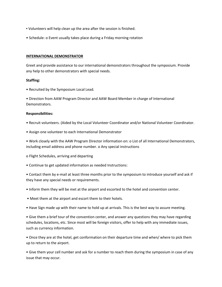- Volunteers will help clean up the area after the session is finished.
- Schedule: o Event usually takes place during a Friday morning rotation

#### **INTERNATIONAL DEMONSTRATOR**

Greet and provide assistance to our international demonstrators throughout the symposium. Provide any help to other demonstrators with special needs.

#### **Staffing:**

• Recruited by the Symposium Local Lead.

• Direction from AAW Program Director and AAW Board Member in charge of International Demonstrators.

#### **Responsibilities:**

- Recruit volunteers. (Aided by the Local Volunteer Coordinator and/or National Volunteer Coordinator.
- Assign one volunteer to each International Demonstrator

• Work closely with the AAW Program Director information on: o List of all International Demonstrators, including email address and phone number. o Any special instructions

o Flight Schedules, arriving and departing

• Continue to get updated information as needed Instructions:

• Contact them by e-mail at least three months prior to the symposium to introduce yourself and ask if they have any special needs or requirements.

- Inform them they will be met at the airport and escorted to the hotel and convention center.
- Meet them at the airport and escort them to their hotels.
- Have Sign made up with their name to hold up at arrivals. This is the best way to assure meeting.

• Give them a brief tour of the convention center, and answer any questions they may have regarding schedules, locations, etc. Since most will be foreign visitors, offer to help with any immediate issues, such as currency information.

• Once they are at the hotel, get conformation on their departure time and when/ where to pick them up to return to the airport.

• Give them your cell number and ask for a number to reach them during the symposium in case of any issue that may occur.